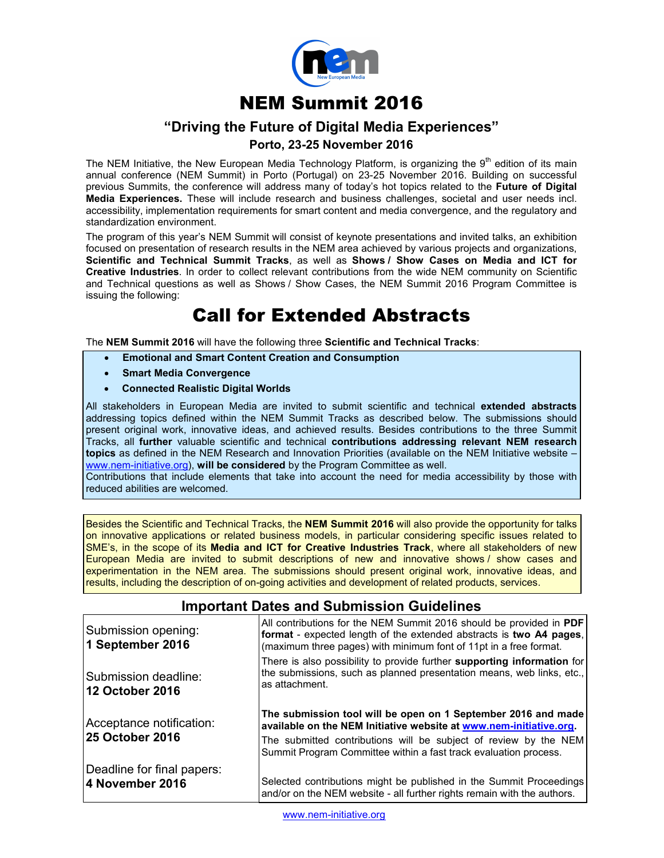

# **NEM Summit 2016**

## **"Driving the Future of Digital Media Experiences"**

### **Porto, 23-25 November 2016**

The NEM Initiative, the New European Media Technology Platform, is organizing the 9<sup>th</sup> edition of its main annual conference (NEM Summit) in Porto (Portugal) on 23-25 November 2016. Building on successful previous Summits, the conference will address many of today's hot topics related to the **Future of Digital Media Experiences.** These will include research and business challenges, societal and user needs incl. accessibility, implementation requirements for smart content and media convergence, and the regulatory and standardization environment.

The program of this year's NEM Summit will consist of keynote presentations and invited talks, an exhibition focused on presentation of research results in the NEM area achieved by various projects and organizations, **Scientific and Technical Summit Tracks**, as well as **Shows / Show Cases on Media and ICT for Creative Industries**. In order to collect relevant contributions from the wide NEM community on Scientific and Technical questions as well as Shows / Show Cases, the NEM Summit 2016 Program Committee is issuing the following:

# **Call for Extended Abstracts**

The **NEM Summit 2016** will have the following three **Scientific and Technical Tracks**:

- **Emotional and Smart Content Creation and Consumption**
- **Smart Media Convergence**
- **Connected Realistic Digital Worlds**

All stakeholders in European Media are invited to submit scientific and technical **extended abstracts** addressing topics defined within the NEM Summit Tracks as described below. The submissions should present original work, innovative ideas, and achieved results. Besides contributions to the three Summit Tracks, all **further** valuable scientific and technical **contributions addressing relevant NEM research topics** as defined in the NEM Research and Innovation Priorities (available on the NEM Initiative website – www.nem-initiative.org), **will be considered** by the Program Committee as well.

Contributions that include elements that take into account the need for media accessibility by those with reduced abilities are welcomed.

Besides the Scientific and Technical Tracks, the **NEM Summit 2016** will also provide the opportunity for talks on innovative applications or related business models, in particular considering specific issues related to SME's, in the scope of its **Media and ICT for Creative Industries Track**, where all stakeholders of new European Media are invited to submit descriptions of new and innovative shows / show cases and experimentation in the NEM area. The submissions should present original work, innovative ideas, and results, including the description of on-going activities and development of related products, services.

### **Important Dates and Submission Guidelines**

| Submission opening:<br>1 September 2016 | All contributions for the NEM Summit 2016 should be provided in PDF<br>format - expected length of the extended abstracts is two A4 pages,<br>(maximum three pages) with minimum font of 11pt in a free format. |
|-----------------------------------------|-----------------------------------------------------------------------------------------------------------------------------------------------------------------------------------------------------------------|
| Submission deadline:<br>12 October 2016 | There is also possibility to provide further supporting information for<br>the submissions, such as planned presentation means, web links, etc.,<br>as attachment.                                              |
|                                         |                                                                                                                                                                                                                 |
| Acceptance notification:                | The submission tool will be open on 1 September 2016 and made<br>available on the NEM Initiative website at www.nem-initiative.org.                                                                             |
| <b>25 October 2016</b>                  | The submitted contributions will be subject of review by the NEM<br>Summit Program Committee within a fast track evaluation process.                                                                            |